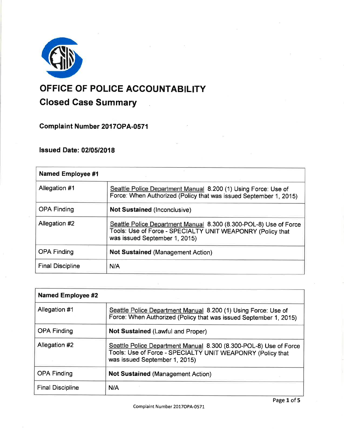

# OFFICE OF POLICE ACCOUNTABILITY Closed Case Summary  $\mathbf{r}$

Complaint Number 2017 OPA-0571

## lssued Date: 0210512018

| <b>Named Employee #1</b> |                                                                                                                                                                  |
|--------------------------|------------------------------------------------------------------------------------------------------------------------------------------------------------------|
| Allegation #1            | Seattle Police Department Manual 8.200 (1) Using Force: Use of<br>Force: When Authorized (Policy that was issued September 1, 2015)                              |
| <b>OPA Finding</b>       | <b>Not Sustained (Inconclusive)</b>                                                                                                                              |
| Allegation #2            | Seattle Police Department Manual 8.300 (8.300-POL-8) Use of Force<br>Tools: Use of Force - SPECIALTY UNIT WEAPONRY (Policy that<br>was issued September 1, 2015) |
| <b>OPA Finding</b>       | <b>Not Sustained (Management Action)</b>                                                                                                                         |
| <b>Final Discipline</b>  | N/A                                                                                                                                                              |

| <b>Named Employee #2</b> |                                                                                                                                                                  |
|--------------------------|------------------------------------------------------------------------------------------------------------------------------------------------------------------|
| Allegation #1            | Seattle Police Department Manual 8.200 (1) Using Force: Use of<br>Force: When Authorized (Policy that was issued September 1, 2015)                              |
| <b>OPA Finding</b>       | <b>Not Sustained (Lawful and Proper)</b>                                                                                                                         |
| Allegation #2            | Seattle Police Department Manual 8.300 (8.300-POL-8) Use of Force<br>Tools: Use of Force - SPECIALTY UNIT WEAPONRY (Policy that<br>was issued September 1, 2015) |
| <b>OPA Finding</b>       | <b>Not Sustained (Management Action)</b>                                                                                                                         |
| <b>Final Discipline</b>  | N/A                                                                                                                                                              |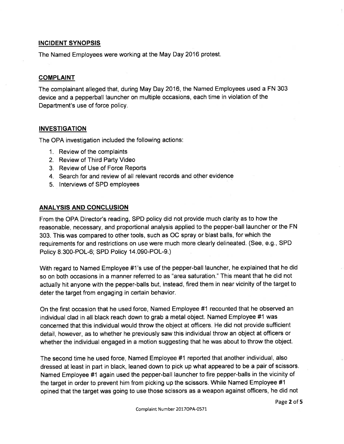## INCIDENT SYNOPSIS

The Named Employees were working at the May Day 2016 protest.

## COMPLAINT

The complainant alleged that, during May Day 2016, the Named Employees used a FN 303 device and a pepperball launcher on multiple occasions, each time in violation of the Department's use of force policy.

## **INVESTIGATION**

The OPA investigation included the following actions:

- 1. Review of the complaints
- 2. Review of Third Party Video
- 3. Review of Use of Force Reports
- 4. Search for and review of all relevant records and other evidence
- 5. lnterviews of SPD employees

## **ANALYSIS AND CONCLUSION**

From the OPA Director's reading, SPD policy did not provide much clarity as to how the reasonable, necessary, and proportional analysis applied to the pepper-ball launcher or the FN 303. This was compared to other tools, such as OC spray or blast balls, for which the requirements for and restrictions on use were much more clearly delineated. (See, e.9., SPD Policy 8.300-POL-6; SPD Policy 14.090-POL-9.)

With regard to Named Employee #1's use of the pepper-ball launcher, he explained that he did so on both occasions in a manner referred to as "area saturation." This meant that he did not actually hit anyone with the pepper-balls but, instead, fired them in near vicinity of the target to deter the target from engaging in certain behavior.

On the first occasion that he used force, Named Employee #1 recounted that he observed an individual clad in all black reach down to grab a metal object. Named Employee #1 was concerned that this individual would throw the object at officers. He did not provide sufficient detail, however, as to whether he previously saw this individual throw an object at officers or whether the individual engaged in a motion suggesting that he was about to throw the object.

The second time he used force, Named Employee #1 reported that another individual, also dressed at least in part in black, leaned down to pick up what appeared to be a pair of scissors. Named Employee #1 again used the pepper-ball launcher to fire pepper-balls in the vicinity of the target in order to prevent him from picking up the scissors. While Named Employee #1 opined that the target was going to use those scissors as a weapon against officers, he did not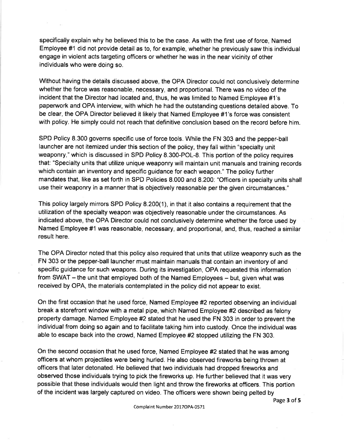specifically explain why he believed this to be the case. As with the first use of force, Named Employee #1 did not provide detail as to, for example, whether he previously saw this individual engage in violent acts targeting officers or whether he was in the near vicinity of other individuals who were doing so.

Without having the details discussed above, the OPA Director could not conclusively determine whether the force was reasonable, necessary, and proportional. There was no video of the incident that the Director had located and, thus, he was limited to Named Employee #1's paperwork and OPA interview, with which he had the outstanding questions detailed above. To be clear, the OPA Director believed it likely that Named Employee #1's force was consistent with policy. He simply could not reach that definitive conclusion based on the record before him.

SPD Policy 8.300 governs specific use of force tools. While the FN 303 and the pepper-ball launcher are not itemized under this section of the policy, they fall within "specialty unit weaponry," which is discussed in SPD Policy 8.300-POL-8. This portion of the policy requires that: "Specialty units that utilize unique weaponry will maintain unit manuals and training records which contain an inventory and specific guidance for each weapon." The policy further mandates that, like as set forth in SPD Policies 8.000 and 8.200: "Officers in specialty units shall use their weaponry in a manner that is objectively reasonable per the given circumstances."

This policy largely mirrors SPD Policy 8.200(1), in that it also contains a requirement that the utilization of the specialty weapon was objectively reasonable under the circumstances. As indicated above, the OPA Director could not conclusively determine whether the force used by Named Employee #1 was reasonable, necessary, and proportional, and, thus, reached a similar result here.

The OPA Director noted that this policy also required that units that utilize weaponry such as the FN 303 or the pepper-ball launcher must maintain manuals that contain an inventory of and specific guidance for such weapons. During its investigation, OPA requested this information from SWAT - the unit that employed both of the Named Employees - but, given what was received by OPA, the materials contemplated in the policy did not appear to exist.

On the first occasion that he used force, Named Employee #2 reported observing an individual break a storefront window with a metal pipe, which Named Employee #2 described as felony property damage. Named Employee #2 stated that he used the FN 303 in order to prevent the individual from doing so again and to facilitate taking him into custody. Once the individual was able to escape back into the crowd, Named Employee #2 stopped utilizing the FN 303.

On the second occasion that he used force, Named Employee #2 stated that he was among officers at whom projectiles were being hurled. He also observed fireworks being thrown at officers that later detonated. He believed that two individuals had dropped fireworks and observed those individuals trying to pick the fireworks up. He further believed that it was very possible that these individuals would then light and throw the fireworks at officers. This portion of the incident was largely captured on video. The officers were shown being pelted by

Page 3 of 5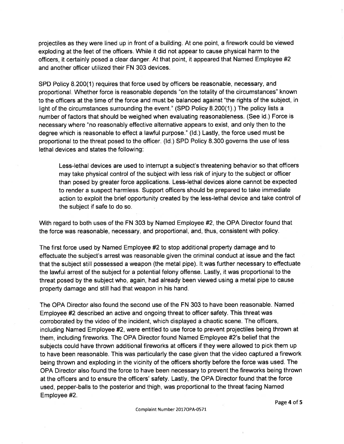projectiles as they were lined up in front of a building. At one point, a firework could be viewed exploding at the feet of the officers. While it did not appear to cause physical harm to the officers, it certainly posed a clear danger. At that point, it appeared that Named Employee #2 and another officer utilized their FN 303 devices.

SPD Policy 8.200(1) requires that force used by officers be reasonable, necessary, and proportional. Whether force is reasonable depends "on the totality of the circumstances" known to the officers at the time of the force and must be balanced against "the rights of the subject, in light of the circumstances surrounding the event." (SPD Policy 8.200(1).) The policy lists a number of factors that should be weighed when evaluating reasonableness. (See id.) Force is necessary where "no reasonably effective alternative appears to exist, and only then to the degree which is reasonable to effect a lawful purpose." (ld.) Lastly, the force used must be proportional to the threat posed to the officer. (ld.) SPD Policy 8.300 governs the use of less lethal devices and states the following:

Less-lethal devices are used to interrupt a subject's threatening behavior so that officers may take physical control of the subject with less risk of injury to the subject or officer than posed by greater force applications. Less-lethal devices alone cannot be expected to render a suspect harmless. Support officers should be prepared to take immediate action to exploit the brief opportunity created by the less-lethal device and take control of the subject if safe to do so.

With regard to both uses of the FN 303 by Named Employee #2, the OPA Director found that the force was reasonable, necessary, and proportional, and, thus, consistent with policy.

The first force used by Named Employee #2 to stop additional property damage and to effectuate the subject's arrest was reasonable given the criminal conduct at issue and the fact that the subject still possessed a weapon (the metal pipe). lt was further necessary to effectuate the lawful arrest of the subject for a potential felony offense. Lastly, it was proportional to the threat posed by the subject who, again, had already been viewed using a metal pipe to cause property damage and still had that weapon in his hand.

The OPA Director also found the second use of the FN 303 to have been reasonable. Named Employee #2 described an active and ongoing threat to officer safety. This threat was corroborated by the video of the incident, which displayed a chaotic scene. The officers, including Named Employee #2, were entitled to use force to prevent projectiles being thrown at them, including fireworks. The OPA Director found Named Employee #2's belief that the subjects could have thrown additional fireworks at officers if they were allowed to pick them up to have been reasonable. This was particularly the case given that the video captured a firework being thrown and exploding in the vicinity of the officers shortly before the force was used. The OPA Director also found the force to have been necessary to prevent the fireworks being thrown at the officers and to ensure the officers' safety. Lastly, the OPA Director found that the force used, pepper-balls to the posterior and thigh, was proportional to the threat facing Named Employee #2.

Page 4 of 5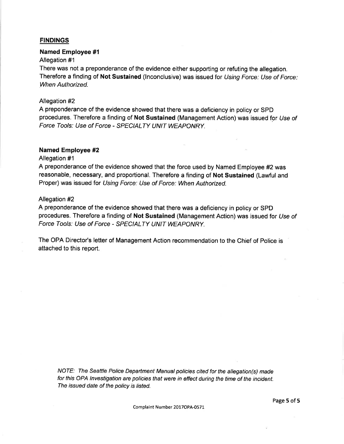## FINDINGS

#### Named Employee #1

## Allegation #1

There was not a preponderance of the evidence either supporting or refuting the allegation. Therefore a finding of Not Sustained (Inconclusive) was issued for Using Force: Use of Force: When Authorized.

## Allegation #2

A preponderance of the evidence showed that there was a deficiency in policy or SPD procedures. Therefore a finding of Not Sustained (Management Action) was issued for Use of Force Tools: Use of Force - SPECIALTY UNIT WEAPONRY.

## Named Employee #2

#### Allegation #1

A preponderance of the evidence showed that the force used by Named Employee #2 was reasonable, necessary, and proportional. Therefore a finding of Not Sustained (Lawful and Proper) was issued for Using Force: Use of Force: When Authorized.

#### Allegation #2

A preponderance of the evidence showed that there was a deficiency in policy or SPD procedures. Therefore a finding of Not Sustained (Management Action) was issued for Use of Force Tools: Use of Force - SPECIALTY UNIT WEAPONRY.

The OPA Director's letter of Management Action recommendation to the Chief of Police is attached to this report.

NOTE: The Seattle Police Depaftment Manual policies cifed for the allegation(s) made for this OPA lnvestigation are policies that were in effect during the time of the incident. The issued date of the policy is listed.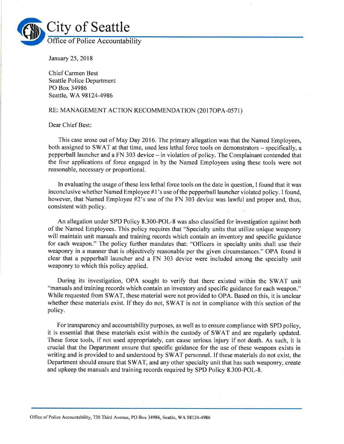

January 25,2018

Chief Carmen Best Seattle Police Department PO Box 34986 Seattle, WA98124-4986

#### RE: MANAGEMENT ACTION RECOMMENDATION (2017OPA-0571)

Dear Chief Best:

This case arose out of May Day 2016. The primary allegation was that the Named Employees, both assigned to SWAT at that time, used less lethal force tools on demonstrators – specifically, a pepperball launcher and a FN 303 device - in violation of policy. The Complainant contended that the four applications of force engaged in by the Named Employees using these tools were not reasonable, necessary or proportional.

In evaluating the usage of these less lethal force tools on the date in question, I found that it was inconclusive whether Named Employee #1's use of the pepperball launcher violated policy. I found, however, that Named Employee #2's use of the FN 303 device was lawful and proper and, thus, consistent with policy.

An allegation under SPD Policy 8.300-POL-8 was also classified for investigation against both of the Named Employees. This policy requires that "specialty units that utilize unique weaponry will maintain unit manuals and training records which contain an inventory and specific guidance for each weapon." The policy further mandates that: "Officers in specialty units shall use their weaponry in a manner that is objectively reasonable per the given circumstances." OPA found it clear that a pepperball launcher and a FN 303 device were included among the specialty unit weaponry to which this policy applied.

During its investigation, OPA sought to verify that there existed within the SWAT unit "manuals and training records which contain an inventory and specific guidance for each weapon." While requested from SWAT, these material were not provided to OPA. Based on this, it is unclear whether these materials exist. If they do not, SWAT is not in compliance with this section of the policy.

For transparency and accountability purposes, as well as to ensure compliance with SPD policy, it is essential that these materials exist within the custody of SWAT and are regularly updated. These force tools, if not used appropriately, can cause serious injury if not death. As such, it is crucial that the Department ensure that specific guidance for the use of these weapons exists in writing and is provided to and understood by SWAT personnel. If these materials do not exist, the Department should ensure that SWAT, and any other specialty unit that has such weaponry, create and upkeep the manuals and training records required by SPD Policy 8.300-POL-8.